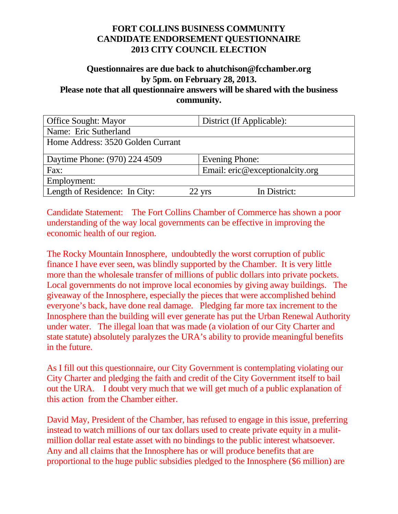# **Questionnaires are due back to ahutchison@fcchamber.org by 5pm. on February 28, 2013.**

**Please note that all questionnaire answers will be shared with the business community.**

| <b>Office Sought: Mayor</b>       | District (If Applicable):       |
|-----------------------------------|---------------------------------|
| Name: Eric Sutherland             |                                 |
| Home Address: 3520 Golden Currant |                                 |
| Daytime Phone: (970) 224 4509     | <b>Evening Phone:</b>           |
| Fax:                              | Email: eric@exceptionalcity.org |
| Employment:                       |                                 |
| Length of Residence: In City:     | In District:<br>22 yrs          |

Candidate Statement: The Fort Collins Chamber of Commerce has shown a poor understanding of the way local governments can be effective in improving the economic health of our region.

The Rocky Mountain Innosphere, undoubtedly the worst corruption of public finance I have ever seen, was blindly supported by the Chamber. It is very little more than the wholesale transfer of millions of public dollars into private pockets. Local governments do not improve local economies by giving away buildings. The giveaway of the Innosphere, especially the pieces that were accomplished behind everyone's back, have done real damage. Pledging far more tax increment to the Innosphere than the building will ever generate has put the Urban Renewal Authority under water. The illegal loan that was made (a violation of our City Charter and state statute) absolutely paralyzes the URA's ability to provide meaningful benefits in the future.

As I fill out this questionnaire, our City Government is contemplating violating our City Charter and pledging the faith and credit of the City Government itself to bail out the URA. I doubt very much that we will get much of a public explanation of this action from the Chamber either.

David May, President of the Chamber, has refused to engage in this issue, preferring instead to watch millions of our tax dollars used to create private equity in a mulitmillion dollar real estate asset with no bindings to the public interest whatsoever. Any and all claims that the Innosphere has or will produce benefits that are proportional to the huge public subsidies pledged to the Innosphere (\$6 million) are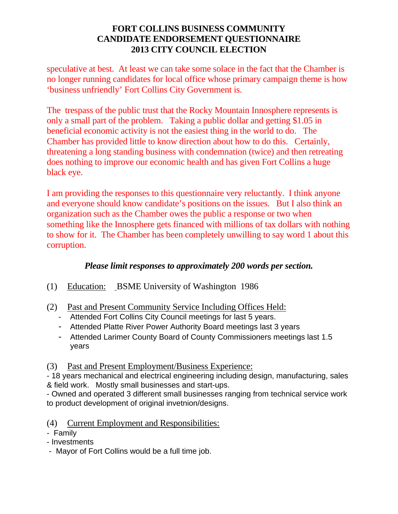speculative at best. At least we can take some solace in the fact that the Chamber is no longer running candidates for local office whose primary campaign theme is how 'business unfriendly' Fort Collins City Government is.

The trespass of the public trust that the Rocky Mountain Innosphere represents is only a small part of the problem. Taking a public dollar and getting \$1.05 in beneficial economic activity is not the easiest thing in the world to do. The Chamber has provided little to know direction about how to do this. Certainly, threatening a long standing business with condemnation (twice) and then retreating does nothing to improve our economic health and has given Fort Collins a huge black eye.

I am providing the responses to this questionnaire very reluctantly. I think anyone and everyone should know candidate's positions on the issues. But I also think an organization such as the Chamber owes the public a response or two when something like the Innosphere gets financed with millions of tax dollars with nothing to show for it. The Chamber has been completely unwilling to say word 1 about this corruption.

# *Please limit responses to approximately 200 words per section.*

- (1) Education: BSME University of Washington 1986
- (2) Past and Present Community Service Including Offices Held:
	- Attended Fort Collins City Council meetings for last 5 years.
	- Attended Platte River Power Authority Board meetings last 3 years
	- Attended Larimer County Board of County Commissioners meetings last 1.5 years
- (3) Past and Present Employment/Business Experience:

- 18 years mechanical and electrical engineering including design, manufacturing, sales & field work. Mostly small businesses and start-ups.

- Owned and operated 3 different small businesses ranging from technical service work to product development of original invetnion/designs.

- (4) Current Employment and Responsibilities:
- Family
- Investments
- Mayor of Fort Collins would be a full time job.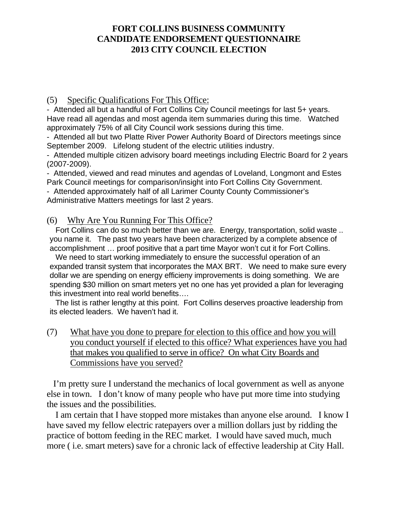#### (5) Specific Qualifications For This Office:

- Attended all but a handful of Fort Collins City Council meetings for last 5+ years. Have read all agendas and most agenda item summaries during this time. Watched approximately 75% of all City Council work sessions during this time.

- Attended all but two Platte River Power Authority Board of Directors meetings since September 2009. Lifelong student of the electric utilities industry.

- Attended multiple citizen advisory board meetings including Electric Board for 2 years (2007-2009).

- Attended, viewed and read minutes and agendas of Loveland, Longmont and Estes Park Council meetings for comparison/insight into Fort Collins City Government.

- Attended approximately half of all Larimer County County Commissioner's Administrative Matters meetings for last 2 years.

#### (6) Why Are You Running For This Office?

Fort Collins can do so much better than we are. Energy, transportation, solid waste .. you name it. The past two years have been characterized by a complete absence of accomplishment … proof positive that a part time Mayor won't cut it for Fort Collins.

We need to start working immediately to ensure the successful operation of an expanded transit system that incorporates the MAX BRT. We need to make sure every dollar we are spending on energy efficieny improvements is doing something. We are spending \$30 million on smart meters yet no one has yet provided a plan for leveraging this investment into real world benefits….

The list is rather lengthy at this point. Fort Collins deserves proactive leadership from its elected leaders. We haven't had it.

(7) What have you done to prepare for election to this office and how you will you conduct yourself if elected to this office? What experiences have you had that makes you qualified to serve in office? On what City Boards and Commissions have you served?

 I'm pretty sure I understand the mechanics of local government as well as anyone else in town. I don't know of many people who have put more time into studying the issues and the possibilities.

 I am certain that I have stopped more mistakes than anyone else around. I know I have saved my fellow electric ratepayers over a million dollars just by ridding the practice of bottom feeding in the REC market. I would have saved much, much more ( i.e. smart meters) save for a chronic lack of effective leadership at City Hall.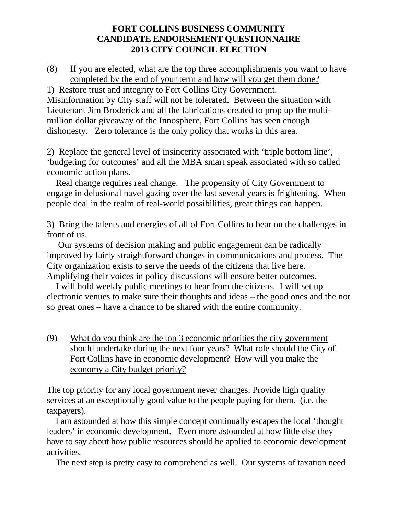(8) If you are elected, what are the top three accomplishments you want to have completed by the end of your term and how will you get them done?

1) Restore trust and integrity to Fort Collins City Government. Misinformation by City staff will not be tolerated. Between the situation with Lieutenant Jim Broderick and all the fabrications created to prop up the multimillion dollar giveaway of the Innosphere, Fort Collins has seen enough dishonesty. Zero tolerance is the only policy that works in this area.

2) Replace the general level of insincerity associated with 'triple bottom line', 'budgeting for outcomes' and all the MBA smart speak associated with so called economic action plans.

 Real change requires real change. The propensity of City Government to engage in delusional navel gazing over the last several years is frightening. When people deal in the realm of real-world possibilities, great things can happen.

3) Bring the talents and energies of all of Fort Collins to bear on the challenges in front of us.

 Our systems of decision making and public engagement can be radically improved by fairly straightforward changes in communications and process. The City organization exists to serve the needs of the citizens that live here. Amplifying their voices in policy discussions will ensure better outcomes.

 I will hold weekly public meetings to hear from the citizens. I will set up electronic venues to make sure their thoughts and ideas – the good ones and the not so great ones – have a chance to be shared with the entire community.

(9) What do you think are the top 3 economic priorities the city government should undertake during the next four years? What role should the City of Fort Collins have in economic development? How will you make the economy a City budget priority?

The top priority for any local government never changes: Provide high quality services at an exceptionally good value to the people paying for them. (i.e. the taxpayers).

 I am astounded at how this simple concept continually escapes the local 'thought leaders' in economic development. Even more astounded at how little else they have to say about how public resources should be applied to economic development activities.

The next step is pretty easy to comprehend as well. Our systems of taxation need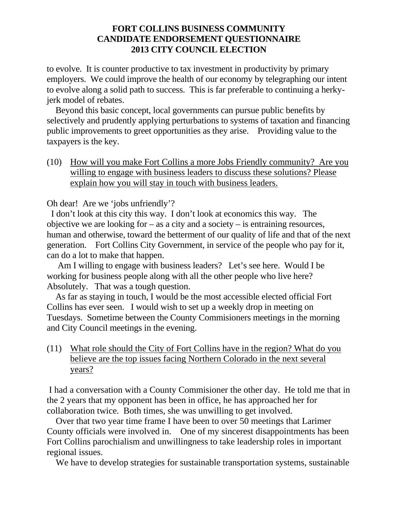to evolve. It is counter productive to tax investment in productivity by primary employers. We could improve the health of our economy by telegraphing our intent to evolve along a solid path to success. This is far preferable to continuing a herkyjerk model of rebates.

 Beyond this basic concept, local governments can pursue public benefits by selectively and prudently applying perturbations to systems of taxation and financing public improvements to greet opportunities as they arise. Providing value to the taxpayers is the key.

(10) How will you make Fort Collins a more Jobs Friendly community? Are you willing to engage with business leaders to discuss these solutions? Please explain how you will stay in touch with business leaders.

Oh dear! Are we 'jobs unfriendly'?

 I don't look at this city this way. I don't look at economics this way. The objective we are looking for  $-$  as a city and a society  $-$  is entraining resources, human and otherwise, toward the betterment of our quality of life and that of the next generation. Fort Collins City Government, in service of the people who pay for it, can do a lot to make that happen.

 Am I willing to engage with business leaders? Let's see here. Would I be working for business people along with all the other people who live here? Absolutely. That was a tough question.

 As far as staying in touch, I would be the most accessible elected official Fort Collins has ever seen. I would wish to set up a weekly drop in meeting on Tuesdays. Sometime between the County Commisioners meetings in the morning and City Council meetings in the evening.

(11) What role should the City of Fort Collins have in the region? What do you believe are the top issues facing Northern Colorado in the next several years?

I had a conversation with a County Commisioner the other day. He told me that in the 2 years that my opponent has been in office, he has approached her for collaboration twice. Both times, she was unwilling to get involved.

 Over that two year time frame I have been to over 50 meetings that Larimer County officials were involved in. One of my sincerest disappointments has been Fort Collins parochialism and unwillingness to take leadership roles in important regional issues.

We have to develop strategies for sustainable transportation systems, sustainable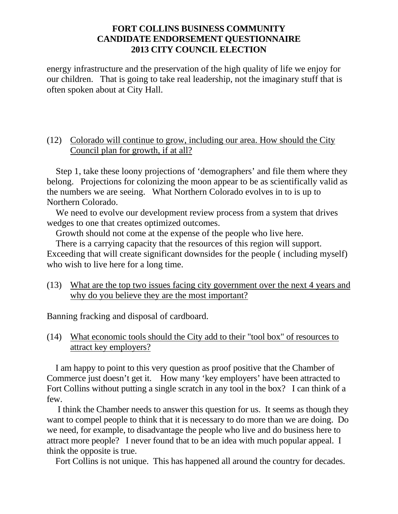energy infrastructure and the preservation of the high quality of life we enjoy for our children. That is going to take real leadership, not the imaginary stuff that is often spoken about at City Hall.

#### (12) Colorado will continue to grow, including our area. How should the City Council plan for growth, if at all?

 Step 1, take these loony projections of 'demographers' and file them where they belong. Projections for colonizing the moon appear to be as scientifically valid as the numbers we are seeing. What Northern Colorado evolves in to is up to Northern Colorado.

We need to evolve our development review process from a system that drives wedges to one that creates optimized outcomes.

Growth should not come at the expense of the people who live here.

 There is a carrying capacity that the resources of this region will support. Exceeding that will create significant downsides for the people ( including myself) who wish to live here for a long time.

(13) What are the top two issues facing city government over the next 4 years and why do you believe they are the most important?

Banning fracking and disposal of cardboard.

(14) What economic tools should the City add to their "tool box" of resources to attract key employers?

 I am happy to point to this very question as proof positive that the Chamber of Commerce just doesn't get it. How many 'key employers' have been attracted to Fort Collins without putting a single scratch in any tool in the box? I can think of a few.

 I think the Chamber needs to answer this question for us. It seems as though they want to compel people to think that it is necessary to do more than we are doing. Do we need, for example, to disadvantage the people who live and do business here to attract more people? I never found that to be an idea with much popular appeal. I think the opposite is true.

Fort Collins is not unique. This has happened all around the country for decades.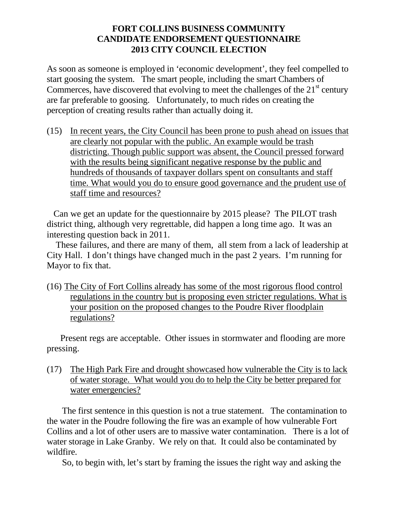As soon as someone is employed in 'economic development', they feel compelled to start goosing the system. The smart people, including the smart Chambers of Commerces, have discovered that evolving to meet the challenges of the  $21<sup>st</sup>$  century are far preferable to goosing. Unfortunately, to much rides on creating the perception of creating results rather than actually doing it.

(15) In recent years, the City Council has been prone to push ahead on issues that are clearly not popular with the public. An example would be trash districting. Though public support was absent, the Council pressed forward with the results being significant negative response by the public and hundreds of thousands of taxpayer dollars spent on consultants and staff time. What would you do to ensure good governance and the prudent use of staff time and resources?

 Can we get an update for the questionnaire by 2015 please? The PILOT trash district thing, although very regrettable, did happen a long time ago. It was an interesting question back in 2011.

 These failures, and there are many of them, all stem from a lack of leadership at City Hall. I don't things have changed much in the past 2 years. I'm running for Mayor to fix that.

(16) The City of Fort Collins already has some of the most rigorous flood control regulations in the country but is proposing even stricter regulations. What is your position on the proposed changes to the Poudre River floodplain regulations?

 Present regs are acceptable. Other issues in stormwater and flooding are more pressing.

(17) The High Park Fire and drought showcased how vulnerable the City is to lack of water storage. What would you do to help the City be better prepared for water emergencies?

 The first sentence in this question is not a true statement. The contamination to the water in the Poudre following the fire was an example of how vulnerable Fort Collins and a lot of other users are to massive water contamination. There is a lot of water storage in Lake Granby. We rely on that. It could also be contaminated by wildfire.

So, to begin with, let's start by framing the issues the right way and asking the